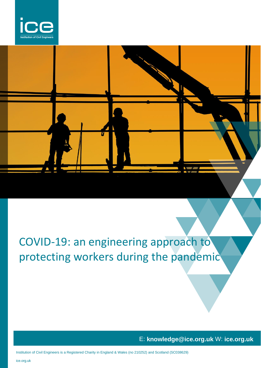

# COVID-19: an engineering approach to protecting workers during the pandemic

E: **knowledge@ice.org.uk** W: **ice.org.uk**

Institution of Civil Engineers is a Registered Charity in England & Wales (no 210252) and Scotland (SC038629)

ice.org.uk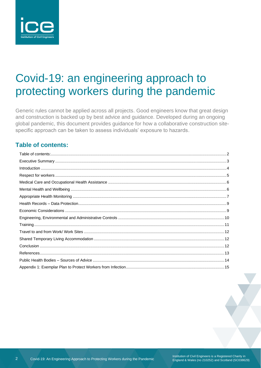

## Covid-19: an engineering approach to protecting workers during the pandemic

Generic rules cannot be applied across all projects. Good engineers know that great design and construction is backed up by best advice and quidance. Developed during an ongoing global pandemic, this document provides guidance for how a collaborative construction sitespecific approach can be taken to assess individuals' exposure to hazards.

### <span id="page-1-0"></span>**Table of contents:**

 $\overline{2}$ 

Institution of Civil Engineers is a Registered Charity in<br>England & Wales (no 210252) and Scotland (SC038629)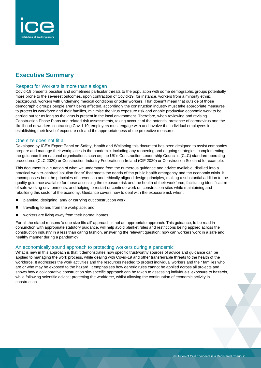

### <span id="page-2-0"></span>**Executive Summary**

#### Respect for Workers is more than a slogan

Covid-19 presents peculiar and sometimes particular threats to the population with some demographic groups potentially more prone to the severest outcomes, upon contraction of Covid-19; for instance, workers from a minority ethnic background, workers with underlying medical conditions or older workers. That doesn't mean that outside of those demographic groups people aren't being affected, accordingly the construction industry must take appropriate measures to protect its workforce and their families, minimise the virus exposure risk and enable productive economic work to be carried out for as long as the virus is present in the local environment. Therefore, when reviewing and revising Construction Phase Plans and related risk assessments, taking account of the potential presence of coronavirus and the likelihood of workers contracting Covid-19, employers must engage with and involve the individual employees in establishing their level of exposure risk and the appropriateness of the protective measures.

#### One size does not fit all

Developed by ICE's Expert Panel on Safety, Health and Wellbeing this document has been designed to assist companies prepare and manage their workplaces in the pandemic, including any reopening and ongoing strategies, complementing the guidance from national organisations such as; the UK's Construction Leadership Council's (CLC) standard operating procedures (CLC 2020) or Construction Industry Federation in Ireland (CIF 2020) or Construction Scotland for example.

This document is a curation of what we understand from the numerous guidance and advice available, distilled into a practical worker-centred 'solution finder' that meets the needs of the public health emergency and the economic crisis. It encompasses both the principles of prevention and ethically aligned design principles, making a substantial addition to the quality guidance available for those assessing the exposure risk and the health of their workforce, facilitating identification of safe working environments, and helping to restart or continue work on construction sites while maintaining and rebuilding this sector of the economy. Guidance covers how to deal with the exposure risk when:

- planning, designing, and/ or carrying out construction work;
- travelling to and from the workplace; and
- workers are living away from their normal homes.

For all the stated reasons 'a one size fits all' approach is not an appropriate approach. This guidance, to be read in conjunction with appropriate statutory guidance, will help avoid blanket rules and restrictions being applied across the construction industry in a less than caring fashion, answering the relevant question; how can workers work in a safe and healthy manner during a pandemic?

### An economically sound approach to protecting workers during a pandemic

What is new in this approach is that it demonstrates how specific trustworthy sources of advice and guidance can be applied to managing the work process, while dealing with Covid-19 and other transferrable threats to the health of the workforce. It addresses the work activities and the resources needed to protect individual workers and their families who are or who may be exposed to the hazard. It emphasises how generic rules cannot be applied across all projects and shows how a collaborative construction site-specific approach can be taken to assessing individuals' exposure to hazards, while following scientific advice; protecting the workforce, whilst allowing the continuation of economic activity in construction.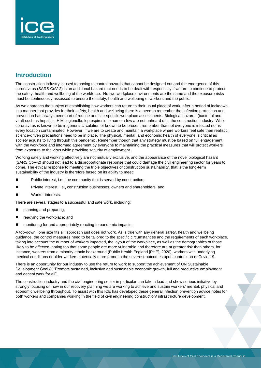

### <span id="page-3-0"></span>**Introduction**

The construction industry is used to having to control hazards that cannot be designed out and the emergence of this coronavirus (SARS CoV-2) is an additional hazard that needs to be dealt with responsibly if we are to continue to protect the safety, health and wellbeing of the workforce. No two workplace environments are the same and the exposure risks must be continuously assessed to ensure the safety, health and wellbeing of workers and the public.

As we approach the subject of establishing how workers can return to their usual place of work, after a period of lockdown, in a manner that provides for their safety, health and wellbeing there is a need to remember that infection protection and prevention has always been part of routine and site-specific workplace assessments. Biological hazards (bacterial and viral) such as hepatitis, HIV, legionella, leptospirosis to name a few are not unheard of in the construction industry. While coronavirus is known to be in general circulation or known to be present remember that not everyone is infected nor is every location contaminated. However, if we are to create and maintain a workplace where workers feel safe then realistic, science-driven precautions need to be in place. The physical, mental, and economic health of everyone is critical as society adjusts to living through this pandemic. Remember though that any strategy must be based on full engagement with the workforce and informed agreement by everyone to maintaining the practical measures that will protect workers from exposure to the virus while providing security of employment.

Working safely and working effectively are not mutually exclusive, and the appearance of the novel biological hazard (SARS CoV-2) should not lead to a disproportionate response that could damage the civil engineering sector for years to come. The ethical response to meeting the triple objectives of construction sustainability, that is the long-term sustainability of the industry is therefore based on its ability to meet:

- Public interest, i.e., the community that is served by construction;
- Private interest, i.e., construction businesses, owners and shareholders; and
- Worker interests.

There are several stages to a successful and safe work, including:

- planning and preparing;
- readying the workplace; and
- monitoring for and appropriately reacting to pandemic impacts.

A top-down, 'one size fits all' approach just does not work. As is true with any general safety, health and wellbeing guidance, the control measures need to be tailored to the specific circumstances and the requirements of each workplace, taking into account the number of workers impacted, the layout of the workplace, as well as the demographics of those likely to be affected, noting too that some people are more vulnerable and therefore are at greater risk than others, for instance, workers from a minority ethnic background (Public Health England [PHE], 2020), workers with underlying medical conditions or older workers potentially more prone to the severest outcomes upon contraction of Covid-19.

There is an opportunity for our industry to use the return to work to support the achievement of UN Sustainable Development Goal 8: "Promote sustained, inclusive and sustainable economic growth, full and productive employment and decent work for all".

The construction industry and the civil engineering sector in particular can take a lead and show serious initiative by strongly focusing on how in our recovery planning we are working to achieve and sustain workers' mental, physical and economic wellbeing throughout. To assist with this ICE has developed these general infection prevention advice notes for both workers and companies working in the field of civil engineering construction/ infrastructure development.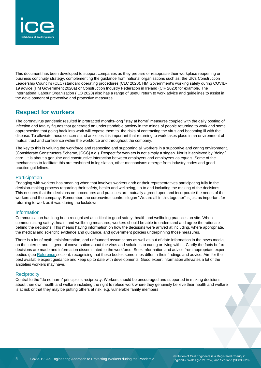

This document has been developed to support companies as they prepare or reappraise their workplace reopening or business continuity strategy, complementing the guidance from national organisations such as; the UK's Construction Leadership Council's (CLC) standard operating procedures (CLC 2020), HM Government's working safely during COVID-19 advice (HM Government 2020a) or Construction Industry Federation in Ireland (CIF 2020) for example. The International Labour Organization (ILO 2020) also has a range of useful return to work advice and guidelines to assist in the development of preventive and protective measures.

### <span id="page-4-0"></span>**Respect for workers**

The coronavirus pandemic resulted in protracted months-long "stay at home" measures coupled with the daily posting of infection and fatality figures that generated an understandable anxiety in the minds of people returning to work and some apprehension that going back into work will expose them to the risks of contracting the virus and becoming ill with the disease. To alleviate these concerns and anxieties it is important that returning to work takes place in an environment of mutual trust and confidence within the workforce and throughout the company.

The key to this is valuing the workforce and respecting and supporting all workers in a supportive and caring environment, (Considerate Constructors Scheme, [CCS] n.d.). Respect for workers is not simply a slogan. Nor is it achieved by "doing" care. It is about a genuine and constructive interaction between employers and employees as equals. Some of the mechanisms to facilitate this are enshrined in legislation, other mechanisms emerge from industry codes and good practice guidelines.

### **Participation**

Engaging with workers has meaning when that involves workers and/ or their representatives participating fully in the decision-making process regarding their safety, health and wellbeing, up to and including the making of the decisions. This ensures that the decisions on procedures and practices are mutually agreed upon and incorporate the needs of the workers and the company. Remember, the coronavirus control slogan "We are all in this together" is just as important for returning to work as it was during the lockdown.

### Information

Communication has long been recognised as critical to good safety, health and wellbeing practices on site. When communicating safety, health and wellbeing measures, workers should be able to understand and agree the rationale behind the decisions. This means having information on how the decisions were arrived at including, where appropriate, the medical and scientific evidence and guidance, and government policies underpinning those measures.

There is a lot of myth, misinformation, and unfounded assumptions as well as out of date information in the news media, on the internet and in general conversation about the virus and solutions to curing or living with it. Clarify the facts before decisions are made and information disseminated to the workforce. Seek information and advice from appropriate expert bodies (see Reference section), recognising that these bodies sometimes differ in their findings and advice. Aim for the best available expert guidance and keep up to date with developments. Good expert information alleviates a lot of the anxieties workers may have.

### **Reciprocity**

Central to the "do no harm" principle is reciprocity. Workers should be encouraged and supported in making decisions about their own health and welfare including the right to refuse work where they genuinely believe their health and welfare is at risk or that they may be putting others at risk, e.g. vulnerable family members.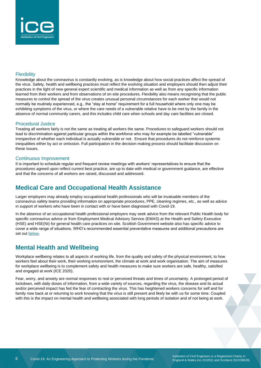

#### **Flexibility**

Knowledge about the coronavirus is constantly evolving, as is knowledge about how social practices affect the spread of the virus. Safety, health and wellbeing practices must reflect the evolving situation and employers should then adjust their practices in the light of new general expert scientific and medical information as well as from any specific information learned from their workers and from observations of on-site procedures. Flexibility also means recognising that the public measures to control the spread of the virus creates unusual personal circumstances for each worker that would not normally be routinely experienced, e.g., the "stay at home" requirement for a full household where only one may be exhibiting symptoms of the virus, or where the care needs of a vulnerable relative have to be met by the family in the absence of normal community carers, and this includes child care when schools and day care facilities are closed.

#### Procedural Justice

Treating all workers fairly is not the same as treating all workers the same. Procedures to safeguard workers should not lead to discrimination against particular groups within the workforce who may for example be labelled "vulnerable" irrespective of whether each individual is actually vulnerable or not. Ensure that procedures do not reinforce systemic inequalities either by act or omission. Full participation in the decision-making process should facilitate discussion on these issues.

### Continuous Improvement

It is important to schedule regular and frequent review meetings with workers' representatives to ensure that the procedures agreed upon reflect current best practice, are up to date with medical or government guidance, are effective and that the concerns of all workers are raised, discussed and addressed.

### <span id="page-5-0"></span>**Medical Care and Occupational Health Assistance**

Larger employers may already employ occupational health professionals who will be invaluable members of the coronavirus safety teams providing information on appropriate procedures, PPE, cleaning regimes, etc., as well as advice in support of workers who have been in contact with or have been diagnosed with Covid-19.

In the absence of an occupational health professional employers may seek advice from the relevant Public Health body for specific coronavirus advice or from Employment Medical Advisory Service (EMAS) at the Health and Safety Executive (HSE) and HSE(NI) for general health care practices on-site. Scottish Government website also has specific advice to cover a wide range of situations. WHO's recommended essential preventative measures and additional precautions are set out [below.](#page-9-1)

### <span id="page-5-1"></span>**Mental Health and Wellbeing**

Workplace wellbeing relates to all aspects of working life, from the quality and safety of the physical environment, to how workers feel about their work, their working environment, the climate at work and work organisation. The aim of measures for workplace wellbeing is to complement safety and health measures to make sure workers are safe, healthy, satisfied and engaged at work (ICE 2020).

Fear, worry, and anxiety are normal responses to real or perceived threats and times of uncertainty. A prolonged period of lockdown, with daily doses of information, from a wide variety of sources, regarding the virus, the disease and its actual and/or perceived impact has fed the fear of contracting the virus. This has heightened workers concerns for self and for family now back at or returning to work knowing that the virus is still present and likely be with us for some time. Coupled with this is the impact on mental health and wellbeing associated with long periods of isolation and of not being at work.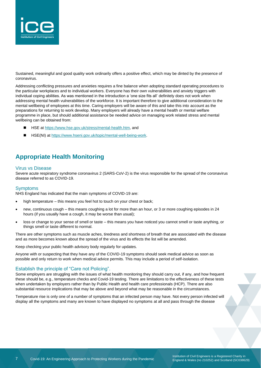

Sustained, meaningful and good quality work ordinarily offers a positive effect, which may be dinted by the presence of coronavirus.

Addressing conflicting pressures and anxieties requires a fine balance when adopting standard operating procedures to the particular workplaces and to individual workers. Everyone has their own vulnerabilities and anxiety triggers with individual coping abilities. As was mentioned in the introduction a 'one size fits all' definitely does not work when addressing mental health vulnerabilities of the workforce. It is important therefore to give additional consideration to the mental wellbeing of employees at this time. Caring employers will be aware of this and take this into account as the preparations for returning to work develop. Many employers will already have a mental health or mental welfare programme in place, but should additional assistance be needed advice on managing work related stress and mental wellbeing can be obtained from:

- ◼ HSE at [https://www.hse.gov.uk/stress/mental-health.htm,](https://www.hse.gov.uk/stress/mental-health.htm) and
- HSE(NI) at [https://www.hseni.gov.uk/topic/mental-well-being-work.](https://www.hseni.gov.uk/topic/mental-well-being-work)

### <span id="page-6-0"></span>**Appropriate Health Monitoring**

#### Virus vs Disease

Severe acute respiratory syndrome coronavirus 2 (SARS-CoV-2) is the virus responsible for the spread of the coronavirus disease referred to as COVID-19.

#### Symptoms

NHS England has indicated that the main symptoms of COVID-19 are:

- high temperature this means you feel hot to touch on your chest or back;
- new, continuous cough this means coughing a lot for more than an hour, or 3 or more coughing episodes in 24 hours (if you usually have a cough, it may be worse than usual);
- loss or change to your sense of smell or taste this means you have noticed you cannot smell or taste anything, or things smell or taste different to normal.

There are other symptoms such as muscle aches, tiredness and shortness of breath that are associated with the disease and as more becomes known about the spread of the virus and its effects the list will be amended.

Keep checking your public health advisory body regularly for updates.

Anyone with or suspecting that they have any of the COVID-19 symptoms should seek medical advice as soon as possible and only return to work when medical advice permits. This may include a period of self-isolation.

#### Establish the principle of "Care not Policing".

Some employers are struggling with the issues of what health monitoring they should carry out, if any, and how frequent these should be, e.g., temperature checks and Covid-19 testing. There are limitations to the effectiveness of these tests when undertaken by employers rather than by Public Health and health care professionals (HCP). There are also substantial resource implications that may be above and beyond what may be reasonable in the circumstances.

Temperature rise is only one of a number of symptoms that an infected person may have. Not every person infected will display all the symptoms and many are known to have displayed no symptoms at all and pass through the disease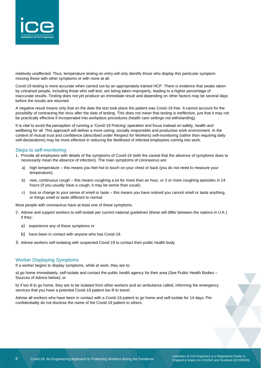

relatively unaffected. Thus, temperature testing on entry will only identify those who display this particular symptom missing those with other symptoms or with none at all.

Covid-19 testing is more accurate when carried out by an appropriately trained HCP. There is evidence that swabs taken by untrained people, including those who self-test, are being taken improperly, leading to a higher percentage of inaccurate results. Testing does not yet produce an immediate result and depending on other factors may be several days before the results are returned.

A negative result means only that on the date the test took place the patient was Covid-19 free. It cannot account for the possibility of contracting the virus after the date of testing. This does not mean that testing is ineffective, just that it may not be practically effective if incorporated into workplace procedures (health care settings not withstanding).

It is vital to avoid the perception of running a 'Covid-19 Policing' operation and focus instead on safety, health and wellbeing for all. This approach will deliver a more caring, socially responsible and productive work environment. In the context of mutual trust and confidence (described under Respect for Workers) self-monitoring (rather than requiring daily self-declarations) may be more effective in reducing the likelihood of infected employees coming into work.

#### Steps to self-monitoring

- 1. Provide all employees with details of the symptoms of Covid-19 (with the caveat that the absence of symptoms does to necessarily mean the absence of infection). The main symptoms of coronavirus are:
	- a) high temperature this means you feel hot to touch on your chest or back (you do not need to measure your temperature);
	- b) new, continuous cough this means coughing a lot for more than an hour, or 3 or more coughing episodes in 24 hours (if you usually have a cough, it may be worse than usual);
	- c) loss or change to your sense of smell or taste this means you have noticed you cannot smell or taste anything, or things smell or taste different to normal.

Most people with coronavirus have at least one of these symptoms.

- 2. Advise and support workers to self-isolate per current national guidelines (these will differ between the nations in U.K.) if they:
	- a) experience any of these symptoms or
	- b) have been in contact with anyone who has Covid-19.
- 3. Advise workers self-isolating with suspected Covid-19 to contact their public health body.

#### Worker Displaying Symptoms

If a worker begins to display symptoms, while at work, they are to:

a) go home immediately, self-isolate and contact the public health agency for their area (See Public Health Bodies – Sources of Advice below); or

b) if too ill to go home, they are to be isolated from other workers and an ambulance called, informing the emergency services that you have a potential Covid-19 patient too ill to travel.

Advise all workers who have been in contact with a Covid-19 patient to go home and self-isolate for 14 days. Per confidentiality do not disclose the name of the Covid-19 patient to others.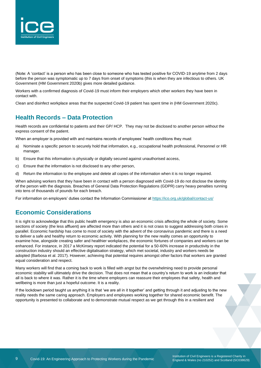

(Note: A 'contact' is a person who has been close to someone who has tested positive for COVID-19 anytime from 2 days before the person was symptomatic up to 7 days from onset of symptoms (this is when they are infectious to others. UK Government (HM Government 2020b) gives more detailed guidance.

Workers with a confirmed diagnosis of Covid-19 must inform their employers which other workers they have been in contact with.

Clean and disinfect workplace areas that the suspected Covid-19 patient has spent time in (HM Government 2020c).

### <span id="page-8-0"></span>**Health Records – Data Protection**

Health records are confidential to patients and their GP/ HCP. They may not be disclosed to another person without the express consent of the patient.

When an employer is provided with and maintains records of employees' health conditions they must:

- a) Nominate a specific person to securely hold that information, e.g., occupational health professional, Personnel or HR manager.
- b) Ensure that this information is physically or digitally secured against unauthorised access,
- c) Ensure that the information is not disclosed to any other person,
- d) Return the information to the employee and delete all copies of the information when it is no longer required.

When advising workers that they have been in contact with a person diagnosed with Covid-19 do not disclose the identity of the person with the diagnosis. Breaches of General Data Protection Regulations (GDPR) carry heavy penalties running into tens of thousands of pounds for each breach.

For information on employers' duties contact the Information Commissioner at<https://ico.org.uk/global/contact-us/>

### <span id="page-8-1"></span>**Economic Considerations**

It is right to acknowledge that this public health emergency is also an economic crisis affecting the whole of society. Some sections of society (the less affluent) are affected more than others and it is not crass to suggest addressing both crises in parallel. Economic hardship has come to most of society with the advent of the coronavirus pandemic and there is a need to deliver a safe and healthy return to economic activity. With planning for the new reality comes an opportunity to examine how, alongside creating safer and healthier workplaces, the economic fortunes of companies and workers can be enhanced. For instance, in 2017 a McKinsey report indicated the potential for a 50-60% increase in productivity in the construction industry should an effective digitalisation strategy, which met societal, industry and workers needs be adopted (Barbosa et al. 2017). However, achieving that potential requires amongst other factors that workers are granted equal consideration and respect.

Many workers will find that a coming back to work is filled with angst but the overwhelming need to provide personal economic stability will ultimately drive the decision. That does not mean that a country's return to work is an indicator that all is back to where it was. Rather it is the time where employers can reassure their employees that safety, health and wellbeing is more than just a hopeful outcome. It is a reality.

If the lockdown period taught us anything it is that 'we are all in it together' and getting through it and adjusting to the new reality needs the same caring approach. Employers and employees working together for shared economic benefit. The opportunity is presented to collaborate and to demonstrate mutual respect as we get through this in a resilient and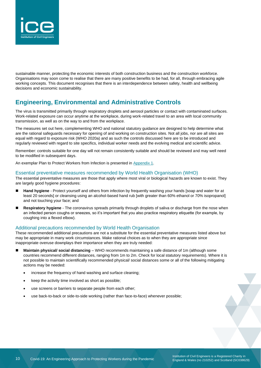

sustainable manner, protecting the economic interests of both construction business and the construction workforce. Organisations may soon come to realise that there are many positive benefits to be had, for all, through embracing agile working concepts. This document recognises that there is an interdependence between safety, health and wellbeing decisions and economic sustainability.

### <span id="page-9-0"></span>**Engineering, Environmental and Administrative Controls**

The virus is transmitted primarily through respiratory droplets and aerosol particles or contact with contaminated surfaces. Work-related exposure can occur anytime at the workplace, during work-related travel to an area with local community transmission, as well as on the way to and from the workplace.

The measures set out here, complementing WHO and national statutory guidance are designed to help determine what are the rational safeguards necessary for opening of and working on construction sites. Not all jobs, nor are all sites are equal with regard to exposure risk (WHO 2020a) and as such the controls discussed here are to be introduced and regularly reviewed with regard to site specifics, individual worker needs and the evolving medical and scientific advice.

Remember: controls suitable for one day will not remain consistently suitable and should be reviewed and may well need to be modified in subsequent days.

<span id="page-9-1"></span>An exemplar Plan to Protect Workers from Infection is presented in Appendix 1.

#### Essential preventative measures recommended by World Health Organisation (WHO)

The essential preventative measures are those that apply where most viral or biological hazards are known to exist. They are largely good hygiene procedures:

- Hand hygiene Protect yourself and others from infection by frequently washing your hands [soap and water for at least 20 seconds] or cleansing using an alcohol-based hand rub [with greater than 60% ethanol or 70% isopropanol] and not touching your face; and
- **Respiratory hygiene** The coronavirus spreads primarily through droplets of saliva or discharge from the nose when an infected person coughs or sneezes, so it's important that you also practice respiratory etiquette (for example, by coughing into a flexed elbow).

### Additional precautions recommended by World Health Organisation

These recommended additional precautions are not a substitute for the essential preventative measures listed above but may be appropriate in many work circumstances. Make rational choices as to when they are appropriate since inappropriate overuse downplays their importance when they are truly needed:

- **Maintain physical/ social distancing** WHO recommends maintaining a safe distance of 1m (although some countries recommend different distances, ranging from 1m to 2m. Check for local statutory requirements). Where it is not possible to maintain scientifically recommended physical/ social distances some or all of the following mitigating actions may be needed:
	- increase the frequency of hand washing and surface cleaning;
	- keep the activity time involved as short as possible;
	- use screens or barriers to separate people from each other;
	- use back-to-back or side-to-side working (rather than face-to-face) whenever possible;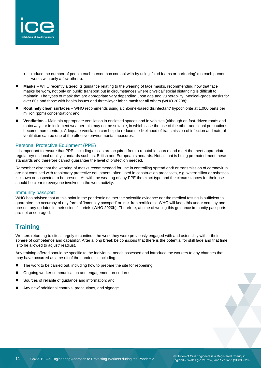

- reduce the number of people each person has contact with by using 'fixed teams or partnering' (so each person works with only a few others).
- **Masks** WHO recently altered its guidance relating to the wearing of face masks, recommending now that face masks be worn, not only on public transport but in circumstances where physical/ social distancing is difficult to maintain. The types of mask that are appropriate vary depending upon age and vulnerability. Medical-grade masks for over 60s and those with health issues and three-layer fabric mask for all others (WHO 2020b);
- ◼ **Routinely clean surfaces**  WHO recommends using a chlorine-based disinfectant/ hypochlorite at 1,000 parts per million (ppm) concentration; and
- Ventilation Maintain appropriate ventilation in enclosed spaces and in vehicles (although on fast-driven roads and motorways or in inclement weather this may not be suitable, in which case the use of the other additional precautions become more central). Adequate ventilation can help to reduce the likelihood of transmission of infection and natural ventilation can be one of the effective environmental measures.

### Personal Protective Equipment (PPE)

It is important to ensure that PPE, including masks are acquired from a reputable source and meet the meet appropriate regulatory/ national quality standards such as, British and European standards. Not all that is being promoted meet these standards and therefore cannot guarantee the level of protection needed.

Remember also that the wearing of masks recommended for use in controlling spread and/ or transmission of coronavirus are not confused with respiratory protective equipment, often used in construction processes, e.g. where silica or asbestos is known or suspected to be present. As with the wearing of any PPE the exact type and the circumstances for their use should be clear to everyone involved in the work activity.

#### Immunity passport

WHO has advised that at this point in the pandemic neither the scientific evidence nor the medical testing is sufficient to guarantee the accuracy of any form of 'immunity passport' or 'risk-free certificate'. WHO will keep this under scrutiny and present any updates in their scientific briefs (WHO 2020b). Therefore, at time of writing this guidance immunity passports are not encouraged.

### <span id="page-10-0"></span>**Training**

Workers returning to sites, largely to continue the work they were previously engaged with and ostensibly within their sphere of competence and capability. After a long break be conscious that there is the potential for skill fade and that time is to be allowed to adjust/ readjust.

Any training offered should be specific to the individual, needs assessed and introduce the workers to any changes that may have occurred as a result of the pandemic, including:

- The work to be carried out, including how to prepare the site for reopening;
- Ongoing worker communication and engagement procedures;
- Sources of reliable of guidance and information; and
- Any new/ additional controls, precautions, and signage.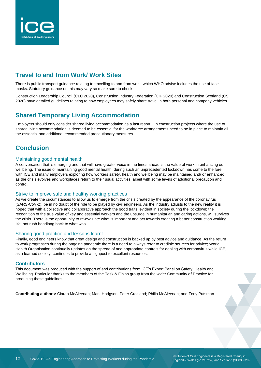

### <span id="page-11-0"></span>**Travel to and from Work/ Work Sites**

There is public transport guidance relating to travelling to and from work, which WHO advise includes the use of face masks. Statutory guidance on this may vary so make sure to check.

Construction Leadership Council (CLC 2020), Construction Industry Federation (CIF 2020) and Construction Scotland (CS 2020) have detailed guidelines relating to how employees may safely share travel in both personal and company vehicles.

### <span id="page-11-1"></span>**Shared Temporary Living Accommodation**

Employers should only consider shared living accommodation as a last resort. On construction projects where the use of shared living accommodation is deemed to be essential for the workforce arrangements need to be in place to maintain all the essential and additional recommended precautionary measures.

### <span id="page-11-2"></span>**Conclusion**

#### Maintaining good mental health

A conversation that is emerging and that will have greater voice in the times ahead is the value of work in enhancing our wellbeing. The issue of maintaining good mental health, during such an unprecedented lockdown has come to the fore with ICE and many employers exploring how workers safety, health and wellbeing may be maintained and/ or enhanced as the crisis evolves and workplaces return to their usual activities, albeit with some levels of additional precaution and control.

#### Strive to improve safe and healthy working practices

As we create the circumstances to allow us to emerge from the crisis created by the appearance of the coronavirus (SARS-CoV-2), be in no doubt of the role to be played by civil engineers. As the industry adjusts to the new reality it is hoped that with a collective and collaborative approach the good traits, evident in society during the lockdown; the recognition of the true value of key and essential workers and the upsurge in humanitarian and caring actions, will survives the crisis. There is the opportunity to re-evaluate what is important and act towards creating a better construction working life, not rush headlong back to what was.

#### Sharing good practice and lessons learnt

Finally, good engineers know that great design and construction is backed up by best advice and guidance. As the return to work progresses during the ongoing pandemic there is a need to always refer to credible sources for advice; World Health Organisation continually updates on the spread of and appropriate controls for dealing with coronavirus while ICE, as a learned society, continues to provide a signpost to excellent resources.

### **Contributors**

This document was produced with the support of and contributions from ICE's Expert Panel on Safety, Health and Wellbeing. Particular thanks to the members of the Task & Finish group from the wider Community of Practice for producing these guidelines.

**Contributing authors:** Ciaran McAleenan; Mark Hodgson; Peter Crosland; Philip McAleenan; and Tony Putsman.

Institution of Civil Engineers is a Registered Charity in England & Wales (no 210252) and Scotland (SC038629)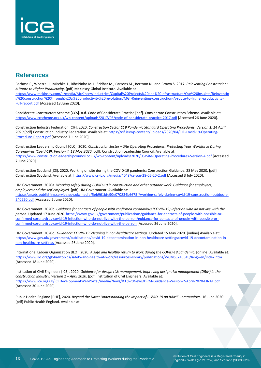

### <span id="page-12-0"></span>**References**

Barbosa F., Woetzel J., Mischke J., Ribeirinho M.J., Sridhar M., Parsons M., Bertram N., and Brown S. 2017. *Reinventing Construction: A Route to Higher Productivity*. [pdf] McKinsey Global Institute. Available at [https://www.mckinsey.com/~/media/McKinsey/Industries/Capital%20Projects%20and%20Infrastructure/Our%20Insights/Reinventin](https://www.mckinsey.com/~/media/McKinsey/Industries/Capital%2520Projects%2520and%2520Infrastructure/Our%2520Insights/Reinventing%2520construction%2520through%2520a%2520productivity%2520revolution/MGI-Reinventing-construction-A-route-to-higher-productivity-Full-report.pdf) [g%20construction%20through%20a%20productivity%20revolution/MGI-Reinventing-construction-A-route-to-higher-productivity-](https://www.mckinsey.com/~/media/McKinsey/Industries/Capital%2520Projects%2520and%2520Infrastructure/Our%2520Insights/Reinventing%2520construction%2520through%2520a%2520productivity%2520revolution/MGI-Reinventing-construction-A-route-to-higher-productivity-Full-report.pdf)[Full-report.pdf](https://www.mckinsey.com/~/media/McKinsey/Industries/Capital%2520Projects%2520and%2520Infrastructure/Our%2520Insights/Reinventing%2520construction%2520through%2520a%2520productivity%2520revolution/MGI-Reinventing-construction-A-route-to-higher-productivity-Full-report.pdf) [Accessed 18 June 2020].

Considerate Constructors Scheme [CCS]. n.d. Code of Considerate Practice [pdf]. Considerate Constructors Scheme. Available at: <https://www.ccscheme.org.uk/wp-content/uploads/2017/05/code-of-considerate-practice-2017.pdf> [Accessed 26 June 2020].

Construction Industry Federation [CIF]. 2020. *Construction Sector C19 Pandemic Standard Operating Procedures. Version 1. 14 April 2020* [pdf] Construction Industry Federation. Available at: [https://cif.ie/wp-content/uploads/2020/04/CIF-Covid-19-Operating-](https://cif.ie/wp-content/uploads/2020/04/CIF-Covid-19-Operating-Procedure-Report.pdf)[Procedure-Report.pdf](https://cif.ie/wp-content/uploads/2020/04/CIF-Covid-19-Operating-Procedure-Report.pdf) [Accessed 7 June 2020].

Construction Leadership Council [CLC]. 2020. *Construction Sector – Site Operating Procedures. Protecting Your Workforce During Coronavirus (Covid-19). Version 4. 18 May 2020* [pdf]. Construction Leadership Council. Available at: <https://www.constructionleadershipcouncil.co.uk/wp-content/uploads/2020/05/Site-Operating-Procedures-Version-4.pdf> [Accessed 7 June 2020].

Construction Scotland [CS]. 2020. Working on site during the COVID-19 pandemic: Construction Guidance. 28 May 2020. [pdf] Construction Scotland. Available at: <https://www.cs-ic.org/media/4048/cs-sog-28-05-20-2.pdf> [Accessed 3 July 2020].

HM Government. 2020a. *Working safely during COVID-19 in construction and other outdoor work. Guidance for employers, employees and the self-employed*. [pdf] HM Government. Available at: [https://assets.publishing.service.gov.uk/media/5eb961bfe90e070834b6675f/working-safely-during-covid-19-construction-outdoors-](https://assets.publishing.service.gov.uk/media/5eb961bfe90e070834b6675f/working-safely-during-covid-19-construction-outdoors-240520.pdf)[240520.pdf](https://assets.publishing.service.gov.uk/media/5eb961bfe90e070834b6675f/working-safely-during-covid-19-construction-outdoors-240520.pdf) [Accessed 5 June 2020].

HM Government. 2020b. Guidance for contacts of people with confirmed coronavirus (COVID-19) infection who do not live with the *person*. Updated 17 June 2020 [https://www.gov.uk/government/publications/guidance-for-contacts-of-people-with-possible-or](https://www.gov.uk/government/publications/guidance-for-contacts-of-people-with-possible-or-confirmed-coronavirus-covid-19-infection-who-do-not-live-with-the-person/guidance-for-contacts-of-people-with-possible-or-confirmed-coronavirus-covid-19-infection-who-do-not-live-with-the-person)[confirmed-coronavirus-covid-19-infection-who-do-not-live-with-the-person/guidance-for-contacts-of-people-with-possible-or](https://www.gov.uk/government/publications/guidance-for-contacts-of-people-with-possible-or-confirmed-coronavirus-covid-19-infection-who-do-not-live-with-the-person/guidance-for-contacts-of-people-with-possible-or-confirmed-coronavirus-covid-19-infection-who-do-not-live-with-the-person)[confirmed-coronavirus-covid-19-infection-who-do-not-live-with-the-person](https://www.gov.uk/government/publications/guidance-for-contacts-of-people-with-possible-or-confirmed-coronavirus-covid-19-infection-who-do-not-live-with-the-person/guidance-for-contacts-of-people-with-possible-or-confirmed-coronavirus-covid-19-infection-who-do-not-live-with-the-person) [Accessed 26 June 2020].

HM Government. 2020c. *Guidance: COVID-19: cleaning in non-healthcare settings*. Updated 15 May 2020. [online] Available at: [https://www.gov.uk/government/publications/covid-19-decontamination-in-non-healthcare-settings/covid-19-decontamination-in](https://www.gov.uk/government/publications/covid-19-decontamination-in-non-healthcare-settings/covid-19-decontamination-in-non-healthcare-settings)[non-healthcare-settings](https://www.gov.uk/government/publications/covid-19-decontamination-in-non-healthcare-settings/covid-19-decontamination-in-non-healthcare-settings) [Accessed 26 June 2020].

International Labour Organization [ILO], 2020. *A safe and healthy return to work during the COVID-19 pandemic*. [online] Available at: [https://www.ilo.org/global/topics/safety-and-health-at-work/resources-library/publications/WCMS\\_745549/lang--en/index.htm](https://www.ilo.org/global/topics/safety-and-health-at-work/resources-library/publications/WCMS_745549/lang--en/index.htm) [Accessed 18 June 2020].

Institution of Civil Engineers [ICE], 2020. *Guidance for design risk management. Improving design risk management (DRM) in the construction industry. Version 2 – April 2020*. [pdf] Institution of Civil Engineers. Available at: <https://www.ice.org.uk/ICEDevelopmentWebPortal/media/News/ICE%20News/DRM-Guidance-Version-2-April-2020-FINAL.pdf> [Accessed 30 June 2020].

Public Health England [PHE], 2020. *Beyond the Data: Understanding the Impact of COVID-19 on BAME Communities.* 16 June 2020. [pdf] Public Health England. Available at: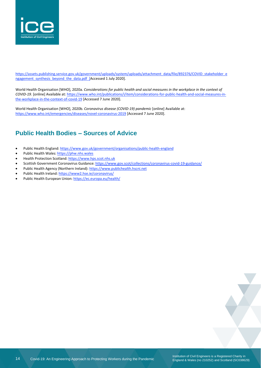

[https://assets.publishing.service.gov.uk/government/uploads/system/uploads/attachment\\_data/file/892376/COVID\\_stakeholder\\_e](https://assets.publishing.service.gov.uk/government/uploads/system/uploads/attachment_data/file/892376/COVID_stakeholder_engagement_synthesis_beyond_the_data.pdf) ngagement synthesis beyond the data.pdf [Accessed 1 July 2020].

World Health Organisation [WHO], 2020a. Considerations for public health and social measures in the workplace in the context of *COVID-19.* [online] Available at: [https://www.who.int/publications/i/item/considerations-for-public-health-and-social-measures-in](https://www.who.int/publications/i/item/considerations-for-public-health-and-social-measures-in-the-workplace-in-the-context-of-covid-19)[the-workplace-in-the-context-of-covid-19](https://www.who.int/publications/i/item/considerations-for-public-health-and-social-measures-in-the-workplace-in-the-context-of-covid-19) [Accessed 7 June 2020].

World Health Organisation [WHO], 2020b. *Coronavirus disease (COVID-19) pandemic* [online] Available at: https://www.who.int/emergencies/diseases/novel-coronavirus-2019 [Accessed 7 June 2020].

## <span id="page-13-0"></span>**Public Health Bodies – Sources of Advice**

- Public Health England: <https://www.gov.uk/government/organisations/public-health-england>
- Public Health Wales: [https://phw.nhs.wales](https://phw.nhs.wales/)
- Health Protection Scotland: [https://www.hps.scot.nhs.uk](https://www.hps.scot.nhs.uk/)
- Scottish Government Coronavirus Guidance: https://www.gov.scot/collections/coronavirus-covid-19-guidance/
- Public Health Agency (Northern Ireland): [https://www.publichealth.hscni.net](https://www.publichealth.hscni.net/)
- Public Health Ireland: <https://www2.hse.ie/coronavirus/>
- Public Health European Union: <https://ec.europa.eu/health/>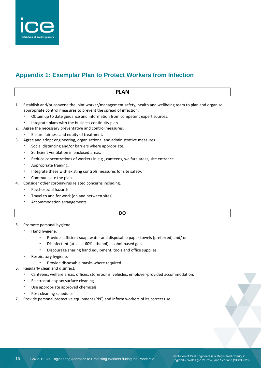

## <span id="page-14-0"></span>**Appendix 1: Exemplar Plan to Protect Workers from Infection**

### **PLAN** 1. Establish and/or convene the joint worker/management safety, health and wellbeing team to plan and organise appropriate control measures to prevent the spread of infection. • Obtain up to date guidance and information from competent expert sources. • Integrate plans with the business continuity plan. 2. Agree the necessary preventative and control measures. • Ensure fairness and equity of treatment. 3. Agree and adopt engineering, organisational and administrative measures. • Social distancing and/or barriers where appropriate. Sufficient ventilation in enclosed areas. Reduce concentrations of workers in e.g., canteens, welfare areas, site entrance. • Appropriate training. Integrate these with existing controls measures for site safety. Communicate the plan. 4. Consider other coronavirus related concerns including. • Psychosocial hazards. Travel to and for work (on and between sites). • Accommodation arrangements. **DO**

- 5. Promote personal hygiene.
	- Hand hygiene.
		- Provide sufficient soap, water and disposable paper towels (preferred) and/ or
		- Disinfectant (at least 60% ethanol) alcohol-based gels.
		- Discourage sharing hand equipment, tools and office supplies.
	- Respiratory hygiene.
		- Provide disposable masks where required.
- 6. Regularly clean and disinfect.
	- Canteens, welfare areas, offices, storerooms, vehicles, employer-provided accommodation.
	- Electrostatic spray surface cleaning.
	- Use appropriate approved chemicals.
	- Post cleaning schedules.
- 7. Provide personal protective equipment (PPE) and inform workers of its correct use.